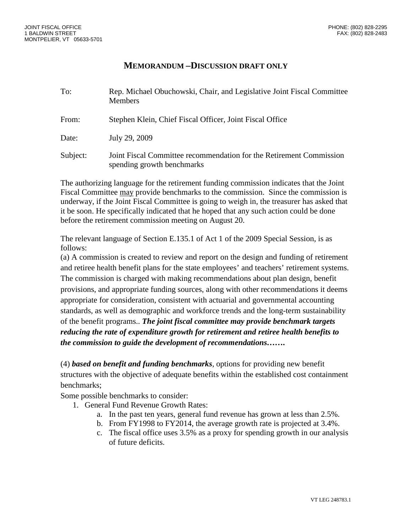## **MEMORANDUM –DISCUSSION DRAFT ONLY**

| To:      | Rep. Michael Obuchowski, Chair, and Legislative Joint Fiscal Committee<br><b>Members</b>          |
|----------|---------------------------------------------------------------------------------------------------|
| From:    | Stephen Klein, Chief Fiscal Officer, Joint Fiscal Office                                          |
| Date:    | July 29, 2009                                                                                     |
| Subject: | Joint Fiscal Committee recommendation for the Retirement Commission<br>spending growth benchmarks |

The authorizing language for the retirement funding commission indicates that the Joint Fiscal Committee may provide benchmarks to the commission. Since the commission is underway, if the Joint Fiscal Committee is going to weigh in, the treasurer has asked that it be soon. He specifically indicated that he hoped that any such action could be done before the retirement commission meeting on August 20.

The relevant language of Section E.135.1 of Act 1 of the 2009 Special Session, is as follows:

(a) A commission is created to review and report on the design and funding of retirement and retiree health benefit plans for the state employees' and teachers' retirement systems. The commission is charged with making recommendations about plan design, benefit provisions, and appropriate funding sources, along with other recommendations it deems appropriate for consideration, consistent with actuarial and governmental accounting standards, as well as demographic and workforce trends and the long-term sustainability of the benefit programs.. *The joint fiscal committee may provide benchmark targets reducing the rate of expenditure growth for retirement and retiree health benefits to the commission to guide the development of recommendations…….*

(4) *based on benefit and funding benchmarks*, options for providing new benefit structures with the objective of adequate benefits within the established cost containment benchmarks;

Some possible benchmarks to consider:

- 1. General Fund Revenue Growth Rates:
	- a. In the past ten years, general fund revenue has grown at less than 2.5%.
	- b. From FY1998 to FY2014, the average growth rate is projected at 3.4%.
	- c. The fiscal office uses 3.5% as a proxy for spending growth in our analysis of future deficits.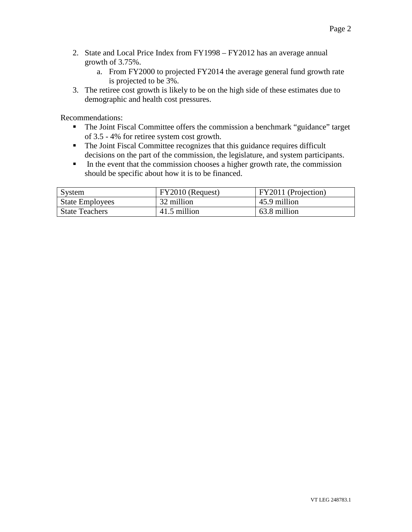- 2. State and Local Price Index from FY1998 FY2012 has an average annual growth of 3.75%.
	- a. From FY2000 to projected FY2014 the average general fund growth rate is projected to be 3%.
- 3. The retiree cost growth is likely to be on the high side of these estimates due to demographic and health cost pressures.

Recommendations:

- The Joint Fiscal Committee offers the commission a benchmark "guidance" target of 3.5 - 4% for retiree system cost growth.
- The Joint Fiscal Committee recognizes that this guidance requires difficult decisions on the part of the commission, the legislature, and system participants.
- In the event that the commission chooses a higher growth rate, the commission should be specific about how it is to be financed.

| System                 | FY2010 (Request) | FY2011 (Projection) |
|------------------------|------------------|---------------------|
| <b>State Employees</b> | 32 million       | 45.9 million        |
| <b>State Teachers</b>  | 41.5 million     | 63.8 million        |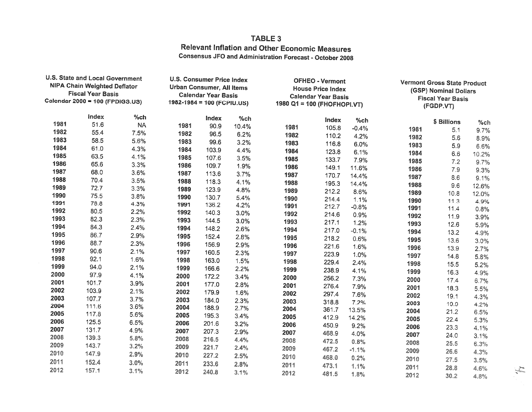## TABLE 3 **Relevant Inflation and Other Economic Measures Consensus JFO and Administration Forecast - October 2008**

| <b>U.S. State and Local Government</b><br><b>NIPA Chain Weighted Deflator</b><br><b>Fiscal Year Basis</b><br>Calendar 2000 = 100 (FPDIGS.US) |              | <b>U.S. Consumer Price Index</b><br><b>Urban Consumer, All Items</b><br><b>Calendar Year Basis</b><br>1982-1984 = 100 (FCPIU.US) |      | <b>OFHEO - Vermont</b><br><b>House Price Index</b><br><b>Calendar Year Basis</b><br>1980 Q1 = 100 (FHOFHOPI.VT) |        | Vermont Gross State Product<br>(GSP) Nominal Dollars<br><b>Fiscal Year Basis</b><br>(FGDP.VT) |       |         |      |              |        |
|----------------------------------------------------------------------------------------------------------------------------------------------|--------------|----------------------------------------------------------------------------------------------------------------------------------|------|-----------------------------------------------------------------------------------------------------------------|--------|-----------------------------------------------------------------------------------------------|-------|---------|------|--------------|--------|
|                                                                                                                                              | <b>Index</b> | %ch                                                                                                                              |      | Index                                                                                                           | $%$ ch |                                                                                               | Index | $%$ ch  |      | \$ Billions  | $%$ ch |
| 1981                                                                                                                                         | 51.6         | <b>NA</b>                                                                                                                        | 1981 | 90.9                                                                                                            | 10.4%  | 1981                                                                                          | 105.8 | $-0.4%$ | 1981 | 5.1          | 9.7%   |
| 1982                                                                                                                                         | 55.4         | 7.5%                                                                                                                             | 1982 | 96.5                                                                                                            | 6.2%   | 1982                                                                                          | 110.2 | 4.2%    | 1982 | 5.6          | 8.9%   |
| 1983                                                                                                                                         | 58.5         | 5.6%                                                                                                                             | 1983 | 99.6                                                                                                            | 3.2%   | 1983                                                                                          | 116.8 | 6.0%    | 1983 | 5.9          | 6.6%   |
| 1984                                                                                                                                         | 61.0         | 4.3%                                                                                                                             | 1984 | 103.9                                                                                                           | 4.4%   | 1984                                                                                          | 123.8 | 6.1%    | 1984 | 6.6          | 10.2%  |
| 1985                                                                                                                                         | 63.5         | 4.1%                                                                                                                             | 1985 | 107.6                                                                                                           | 3.5%   | 1985                                                                                          | 133.7 | 7.9%    | 1985 | 7.2          | 9.7%   |
| 1986                                                                                                                                         | 65.6         | 3.3%                                                                                                                             | 1986 | 109.7                                                                                                           | 1.9%   | 1986                                                                                          | 149.1 | 11.6%   | 1986 | 7.9          | 9.3%   |
| 1987                                                                                                                                         | 68.0         | 3.6%                                                                                                                             | 1987 | 113.6                                                                                                           | 3.7%   | 1987                                                                                          | 170.7 | 14.4%   | 1987 | 8.6          | 9.1%   |
| 1988                                                                                                                                         | 70.4         | 3.5%                                                                                                                             | 1988 | 118.3                                                                                                           | 4.1%   | 1988                                                                                          | 195.3 | 14.4%   | 1988 | 9.6          | 12.6%  |
| 1989                                                                                                                                         | 72.7         | 3.3%                                                                                                                             | 1989 | 123.9                                                                                                           | 4.8%   | 1989                                                                                          | 212.2 | 8.6%    | 1989 | 10.8         | 12.0%  |
| 1990                                                                                                                                         | 75.5         | 3.8%                                                                                                                             | 1990 | 130.7                                                                                                           | 5.4%   | 1990                                                                                          | 214.4 | 1.1%    | 1990 | 11.3         | 4.9%   |
| 1991                                                                                                                                         | 78.8         | 4.3%                                                                                                                             | 1991 | 136.2                                                                                                           | 4.2%   | 1991                                                                                          | 212.7 | $-0.8%$ | 1991 | 11.4         | 0.8%   |
| 1992                                                                                                                                         | 80.5         | 2.2%                                                                                                                             | 1992 | 140.3                                                                                                           | 3.0%   | 1992                                                                                          | 214.6 | 0.9%    | 1992 | 11.9         | 3.9%   |
| 1993                                                                                                                                         | 82.3         | 2.3%                                                                                                                             | 1993 | 144.5                                                                                                           | 3.0%   | 1993                                                                                          | 217.1 | 1.2%    | 1993 | 12.6         | 5.9%   |
| 1994                                                                                                                                         | 84.3         | 2.4%                                                                                                                             | 1994 | 148.2                                                                                                           | 2.6%   | 1994                                                                                          | 217.0 | $-0.1%$ | 1994 | 13.2         | 4.9%   |
| 1995                                                                                                                                         | 86.7         | 2.9%                                                                                                                             | 1995 | 152.4                                                                                                           | 2.8%   | 1995                                                                                          | 218.2 | 0.6%    | 1995 | 13.6         | 3.0%   |
| 1996                                                                                                                                         | 88.7         | 2.3%                                                                                                                             | 1996 | 156.9                                                                                                           | 2.9%   | 1996                                                                                          | 221.6 | 1.6%    | 1996 | 13.9         | 2.7%   |
| 1997                                                                                                                                         | 90.6         | 2.1%                                                                                                                             | 1997 | 160.5                                                                                                           | 2.3%   | 1997                                                                                          | 223.9 | 1.0%    | 1997 | 14.8         | 5.8%   |
| 1998                                                                                                                                         | 92.1         | 1.6%                                                                                                                             | 1998 | 163.0                                                                                                           | 1.5%   | 1998                                                                                          | 229.4 | 2.4%    | 1998 | 15.5         |        |
| 1999                                                                                                                                         | 94.0         | 2.1%                                                                                                                             | 1999 | 166.6                                                                                                           | 2.2%   | 1999                                                                                          | 238.9 | 4.1%    | 1999 | 16.3         | 5.2%   |
| 2000                                                                                                                                         | 97.9         | 4.1%                                                                                                                             | 2000 | 172.2                                                                                                           | 3.4%   | 2000                                                                                          | 256.2 | 7.3%    | 2000 | 17.4         | 4.9%   |
| 2001                                                                                                                                         | 101.7        | 3.9%                                                                                                                             | 2001 | 177.0                                                                                                           | 2.8%   | 2001                                                                                          | 276.4 | 7.9%    | 2001 | 18.3         | 6.7%   |
| 2002                                                                                                                                         | 103.9        | 2.1%                                                                                                                             | 2002 | 179.9                                                                                                           | 1.6%   | 2002                                                                                          | 297.4 | 7.6%    | 2002 | 19.1         | 5.5%   |
| 2003                                                                                                                                         | 107.7        | 3.7%                                                                                                                             | 2003 | 184.0                                                                                                           | 2.3%   | 2003                                                                                          | 318.8 | 7.2%    | 2003 |              | 4.3%   |
| 2004                                                                                                                                         | 111.6        | 3.6%                                                                                                                             | 2004 | 188.9                                                                                                           | 2.7%   | 2004                                                                                          | 361.7 | 13.5%   | 2004 | 19.9<br>21.2 | 4.2%   |
| 2005                                                                                                                                         | 117.8        | 5.6%                                                                                                                             | 2005 | 195.3                                                                                                           | 3.4%   | 2005                                                                                          | 412.9 | 14.2%   | 2005 | 22.4         | 6.5%   |
| 2006                                                                                                                                         | 125.5        | 6.5%                                                                                                                             | 2006 | 201.6                                                                                                           | 3.2%   | 2006                                                                                          | 450.9 | 9.2%    | 2006 |              | 5.3%   |
| 2007                                                                                                                                         | 131.7        | 4.9%                                                                                                                             | 2007 | 207.3                                                                                                           | 2.9%   | 2007                                                                                          | 468.9 | 4.0%    | 2007 | 23.3         | 4.1%   |
| 2008                                                                                                                                         | 139.3        | 5.8%                                                                                                                             | 2008 | 216.5                                                                                                           | 4.4%   | 2008                                                                                          | 472.5 | 0.8%    | 2008 | 24.0         | 3.1%   |
| 2009                                                                                                                                         | 143.7        | 3.2%                                                                                                                             | 2009 | 221.7                                                                                                           | 2.4%   | 2009                                                                                          | 467.2 | $-1.1%$ | 2009 | 25.5         | 6.3%   |
| 2010                                                                                                                                         | 147.9        | 2.9%                                                                                                                             | 2010 | 227.2                                                                                                           | 2.5%   | 2010                                                                                          | 468.0 | 0.2%    |      | 26.6         | 4.3%   |
| 2011                                                                                                                                         | 152.4        | 3.0%                                                                                                                             | 2011 | 233.6                                                                                                           | 2.8%   | 2011                                                                                          | 473.1 | 1.1%    | 2010 | 27.5         | 3.5%   |
| 2012                                                                                                                                         | 157.1        | 3.1%                                                                                                                             | 2012 | 240.8                                                                                                           | 3.1%   | 2012                                                                                          | 481.5 |         | 2011 | 28.8         | 4.6%   |
|                                                                                                                                              |              |                                                                                                                                  |      |                                                                                                                 |        |                                                                                               |       | 1.8%    | 2012 | 30.2         | 4.8%   |